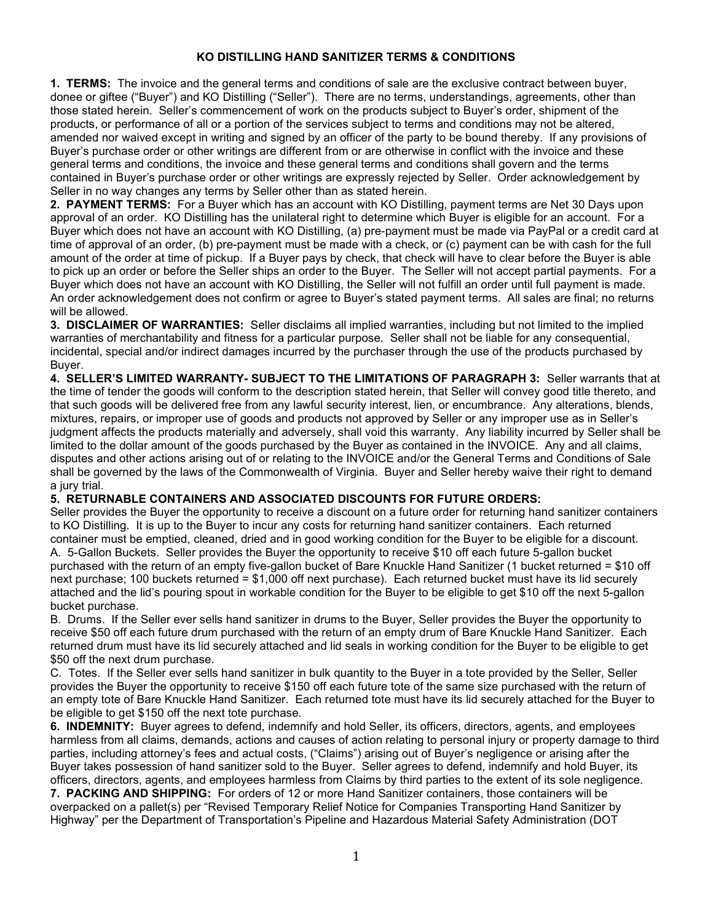## KO DISTILLING HAND SANITIZER TERMS & CONDITIONS

1. TERMS: The invoice and the general terms and conditions of sale are the exclusive contract between buyer, donee or giftee ("Buyer") and KO Distilling ("Seller"). There are no terms, understandings, agreements, other than those stated herein. Seller's commencement of work on the products subject to Buyer's order, shipment of the products, or performance of all or a portion of the services subject to terms and conditions may not be altered, amended nor waived except in writing and signed by an officer of the party to be bound thereby. If any provisions of Buyer's purchase order or other writings are different from or are otherwise in conflict with the invoice and these general terms and conditions, the invoice and these general terms and conditions shall govern and the terms contained in Buyer's purchase order or other writings are expressly rejected by Seller. Order acknowledgement by Seller in no way changes any terms by Seller other than as stated herein.

2. PAYMENT TERMS: For a Buyer which has an account with KO Distilling, payment terms are Net 30 Days upon approval of an order. KO Distilling has the unilateral right to determine which Buyer is eligible for an account. For a Buyer which does not have an account with KO Distilling, (a) pre-payment must be made via PayPal or a credit card at time of approval of an order, (b) pre-payment must be made with a check, or (c) payment can be with cash for the full amount of the order at time of pickup. If a Buyer pays by check, that check will have to clear before the Buyer is able to pick up an order or before the Seller ships an order to the Buyer. The Seller will not accept partial payments. For a Buyer which does not have an account with KO Distilling, the Seller will not fulfill an order until full payment is made. An order acknowledgement does not confirm or agree to Buyer's stated payment terms. All sales are final; no returns will be allowed.

3. DISCLAIMER OF WARRANTIES: Seller disclaims all implied warranties, including but not limited to the implied warranties of merchantability and fitness for a particular purpose. Seller shall not be liable for any consequential, incidental, special and/or indirect damages incurred by the purchaser through the use of the products purchased by Buyer.

4. SELLER'S LIMITED WARRANTY- SUBJECT TO THE LIMITATIONS OF PARAGRAPH 3: Seller warrants that at the time of tender the goods will conform to the description stated herein, that Seller will convey good title thereto, and that such goods will be delivered free from any lawful security interest, lien, or encumbrance. Any alterations, blends, mixtures, repairs, or improper use of goods and products not approved by Seller or any improper use as in Seller's judgment affects the products materially and adversely, shall void this warranty. Any liability incurred by Seller shall be limited to the dollar amount of the goods purchased by the Buyer as contained in the INVOICE. Any and all claims, disputes and other actions arising out of or relating to the INVOICE and/or the General Terms and Conditions of Sale shall be governed by the laws of the Commonwealth of Virginia. Buyer and Seller hereby waive their right to demand a jury trial.

## 5. RETURNABLE CONTAINERS AND ASSOCIATED DISCOUNTS FOR FUTURE ORDERS:

Seller provides the Buyer the opportunity to receive a discount on a future order for returning hand sanitizer containers to KO Distilling. It is up to the Buyer to incur any costs for returning hand sanitizer containers. Each returned container must be emptied, cleaned, dried and in good working condition for the Buyer to be eligible for a discount. A. 5-Gallon Buckets. Seller provides the Buyer the opportunity to receive \$10 off each future 5-gallon bucket purchased with the return of an empty five-gallon bucket of Bare Knuckle Hand Sanitizer (1 bucket returned = \$10 off next purchase; 100 buckets returned = \$1,000 off next purchase). Each returned bucket must have its lid securely attached and the lid's pouring spout in workable condition for the Buyer to be eligible to get \$10 off the next 5-gallon bucket purchase.

B. Drums. If the Seller ever sells hand sanitizer in drums to the Buyer, Seller provides the Buyer the opportunity to receive \$50 off each future drum purchased with the return of an empty drum of Bare Knuckle Hand Sanitizer. Each returned drum must have its lid securely attached and lid seals in working condition for the Buyer to be eligible to get \$50 off the next drum purchase.

C. Totes. If the Seller ever sells hand sanitizer in bulk quantity to the Buyer in a tote provided by the Seller, Seller provides the Buyer the opportunity to receive \$150 off each future tote of the same size purchased with the return of an empty tote of Bare Knuckle Hand Sanitizer. Each returned tote must have its lid securely attached for the Buyer to be eligible to get \$150 off the next tote purchase.

6. INDEMNITY: Buyer agrees to defend, indemnify and hold Seller, its officers, directors, agents, and employees harmless from all claims, demands, actions and causes of action relating to personal injury or property damage to third parties, including attorney's fees and actual costs, ("Claims") arising out of Buyer's negligence or arising after the Buyer takes possession of hand sanitizer sold to the Buyer. Seller agrees to defend, indemnify and hold Buyer, its officers, directors, agents, and employees harmless from Claims by third parties to the extent of its sole negligence.

7. PACKING AND SHIPPING: For orders of 12 or more Hand Sanitizer containers, those containers will be overpacked on a pallet(s) per "Revised Temporary Relief Notice for Companies Transporting Hand Sanitizer by Highway" per the Department of Transportation's Pipeline and Hazardous Material Safety Administration (DOT